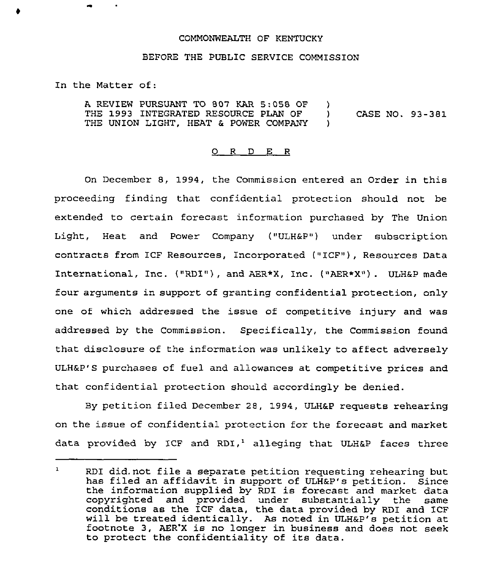## COMMONWEALTH OF KENTUCKY

## BEFORE THE PUBLIC SERVICE COMMISSION

In the Matter of:

A REVIEW PURSUANT TO 807 KAR 5:058 OF THE 1993 INTEGRATED RESOURCE PLAN OF THE UNION LIGHT, HEAT & POWER COMPANY  $\mathcal{L}$ ) CASE NO. 93-381 )

## 0 <sup>R</sup> <sup>D</sup> E <sup>R</sup>

On December 8, 1994, the Commission entered an Order in this proceeding finding that confidential protection should not be extended to certain forecast information purchased by The Union Light, Heat and Power Company ("ULH&P") under subscription contracts from ICF Resources, Incorporated ("ICF"), Resources Data International, Inc. ("RDI"), and AER\*X, Inc. ("AER\*X"). ULH&P made four arguments in support of granting confidential protection, only one of which addressed the issue of competitive injury and was addressed by the Commission. Specifically, the Commission found that disclosure of the information was unlikely to affect adversely ULH&P'S purchases of fuel and allowances at competitive prices and that confidential protection should accordingly be denied.

By petition filed December 28, 1994, ULH&P requests rehearing on the issue of confidential protection for the forecast and market data provided by ICF and RDI,<sup>1</sup> alleging that ULH&P faces three

 $\mathbf{1}$ RDI did. not file <sup>a</sup> separate petition requesting rehearing but has filed an affidavit in support of ULH&P's petition. Since the information supplied by RDI is forecast and market data<br>copyrighted and provided under substantially the same conditions as the ICF data, the data provided by RDI and ICF will be treated identically. As noted in ULH&P's petition at footnote 3, AER'X is no longer in business and does not seek to protect the confidentiality of its data.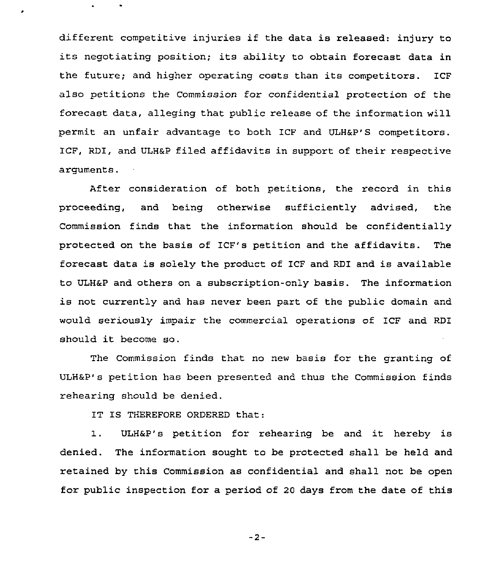different competitive injuries if the data is released: injury to its negotiating position; its ability to obtain forecast data in the future; and higher operating costs than its competitors. ICF also petitions the Commission for confidential protection of the forecast data, alleging that public release of the information will permit an unfair advantage to both ICF and ULH&P'S competitors. ICF, RDI, and ULHaP filed affidavits in support of their respective arguments.

After consideration of both petitions, the record in this proceeding, and being otherwise sufficiently advised, the Commission finds that the information should be confidentially protected on the basis of ICF's petition and the affidavits. The forecast data is solely the product of ICF and RDI and is available to ULHaP and others on a subscription-only basis. The information is not currently and has never been part of the public domain and would seriously impair the commercial operations of ICF and RDI should it become so.

The Commission finds that no new basis for the granting of ULH&P' petition has been presented and thus the Commission finds rehearing should be denied.

IT IS THEREFORE ORDERED that:

1. ULHaP's petition for rehearing be and it hereby is denied. The information sought to be protected shall be held and retained by this Commission as confidential and shall not be open for public inspection for a period of 20 days from the date of this

 $-2-$